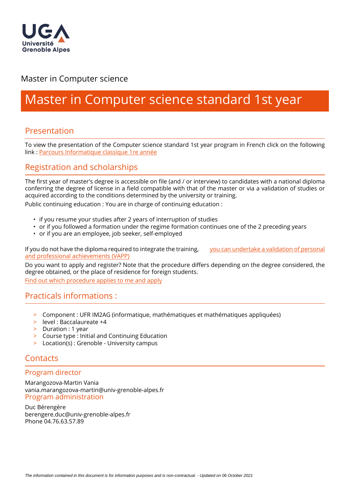

# Master in Computer science

# Master in Computer science standard 1st year

## Presentation

To view the presentation of the Computer science standard 1st year program in French click on the following link : Parcours Informatique classique 1re année

# Registration and scholarships

The first year of master's degree is accessible on file (and / or interview) to candidates with a national diploma conferring the degree of license in a field compatible with that of the master or via a validation of studies or acquired according to the conditions determined by the university or training.

Public continuing education : You are in charge of continuing education :

- if you resume your studies after 2 years of interruption of studies
- or if you followed a formation under the regime formation continues one of the 2 preceding years
- or if you are an employee, job seeker, self-employed

If you do not have the diploma required to integrate the training, [you can undertake a validation of personal](https://www.univ-grenoble-alpes.fr/construire-son-parcours/valider-ses-acquis/validation-des-acquis-personnels-et-professionnels-vapp-/)  [and professional achievements \(VAPP\)](https://www.univ-grenoble-alpes.fr/construire-son-parcours/valider-ses-acquis/validation-des-acquis-personnels-et-professionnels-vapp-/)

Do you want to apply and register? Note that the procedure differs depending on the degree considered, the degree obtained, or the place of residence for foreign students.

[Find out which procedure applies to me and apply](https://im2ag.univ-grenoble-alpes.fr/menu-principal/formation/candidatures/)

#### Practicals informations :

- > Component : UFR IM2AG (informatique, mathématiques et mathématiques appliquées)
- > level : Baccalaureate +4
- > Duration : 1 year
- > Course type : Initial and Continuing Education
- > Location(s) : Grenoble University campus

### **Contacts**

#### Program director

Marangozova-Martin Vania vania.marangozova-martin@univ-grenoble-alpes.fr Program administration

Duc Bérengère berengere.duc@univ-grenoble-alpes.fr Phone 04.76.63.57.89